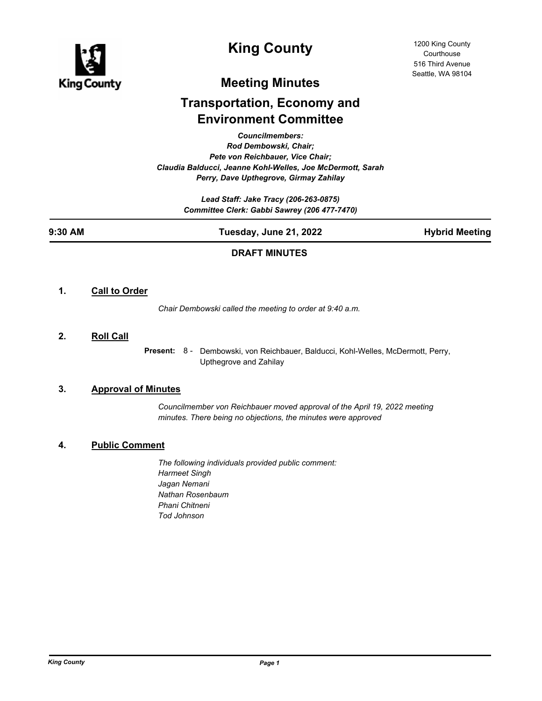

# **King County**

# **Meeting Minutes**

# **Transportation, Economy and Environment Committee**

*Councilmembers:*

*Rod Dembowski, Chair; Pete von Reichbauer, Vice Chair; Claudia Balducci, Jeanne Kohl-Welles, Joe McDermott, Sarah Perry, Dave Upthegrove, Girmay Zahilay*

> *Lead Staff: Jake Tracy (206-263-0875) Committee Clerk: Gabbi Sawrey (206 477-7470)*

**9:30 AM Tuesday, June 21, 2022 Hybrid Meeting**

# **DRAFT MINUTES**

# **1. Call to Order**

*Chair Dembowski called the meeting to order at 9:40 a.m.*

**2. Roll Call**

Present: 8 - Dembowski, von Reichbauer, Balducci, Kohl-Welles, McDermott, Perry, Upthegrove and Zahilay

## **3. Approval of Minutes**

*Councilmember von Reichbauer moved approval of the April 19, 2022 meeting minutes. There being no objections, the minutes were approved*

# **4. Public Comment**

*The following individuals provided public comment: Harmeet Singh Jagan Nemani Nathan Rosenbaum Phani Chitneni Tod Johnson*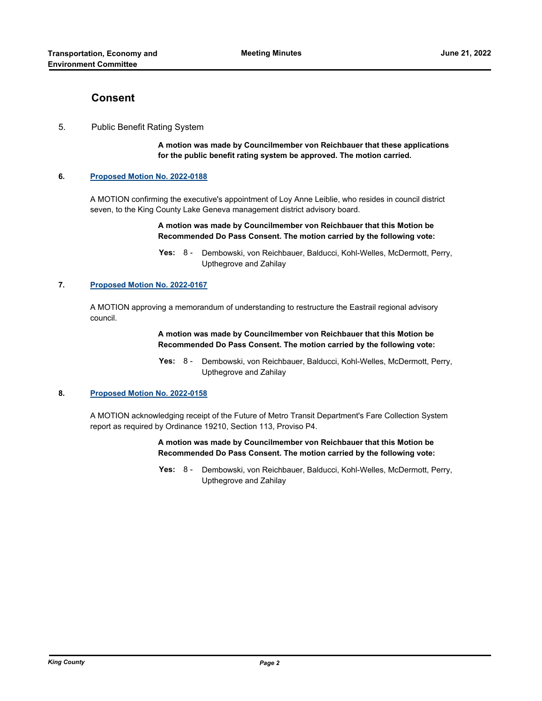# **Consent**

### 5. Public Benefit Rating System

**A motion was made by Councilmember von Reichbauer that these applications for the public benefit rating system be approved. The motion carried.**

#### **6. [Proposed Motion No. 2022-0188](http://kingcounty.legistar.com/gateway.aspx?m=l&id=/matter.aspx?key=23106)**

A MOTION confirming the executive's appointment of Loy Anne Leiblie, who resides in council district seven, to the King County Lake Geneva management district advisory board.

#### **A motion was made by Councilmember von Reichbauer that this Motion be Recommended Do Pass Consent. The motion carried by the following vote:**

#### **7. [Proposed Motion No. 2022-0167](http://kingcounty.legistar.com/gateway.aspx?m=l&id=/matter.aspx?key=23052)**

A MOTION approving a memorandum of understanding to restructure the Eastrail regional advisory council.

#### **A motion was made by Councilmember von Reichbauer that this Motion be Recommended Do Pass Consent. The motion carried by the following vote:**

Yes: 8 - Dembowski, von Reichbauer, Balducci, Kohl-Welles, McDermott, Perry, Upthegrove and Zahilay

#### **8. [Proposed Motion No. 2022-0158](http://kingcounty.legistar.com/gateway.aspx?m=l&id=/matter.aspx?key=23029)**

A MOTION acknowledging receipt of the Future of Metro Transit Department's Fare Collection System report as required by Ordinance 19210, Section 113, Proviso P4.

#### **A motion was made by Councilmember von Reichbauer that this Motion be Recommended Do Pass Consent. The motion carried by the following vote:**

Yes: 8 - Dembowski, von Reichbauer, Balducci, Kohl-Welles, McDermott, Perry, Upthegrove and Zahilay

Yes: 8 - Dembowski, von Reichbauer, Balducci, Kohl-Welles, McDermott, Perry, Upthegrove and Zahilay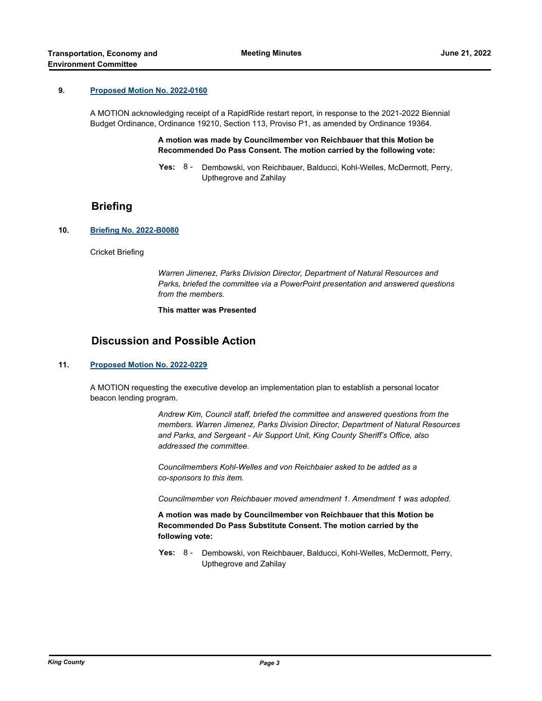#### **9. [Proposed Motion No. 2022-0160](http://kingcounty.legistar.com/gateway.aspx?m=l&id=/matter.aspx?key=23037)**

A MOTION acknowledging receipt of a RapidRide restart report, in response to the 2021-2022 Biennial Budget Ordinance, Ordinance 19210, Section 113, Proviso P1, as amended by Ordinance 19364.

> **A motion was made by Councilmember von Reichbauer that this Motion be Recommended Do Pass Consent. The motion carried by the following vote:**

**Yes:** Dembowski, von Reichbauer, Balducci, Kohl-Welles, McDermott, Perry, Upthegrove and Zahilay Yes:  $8 -$ 

# **Briefing**

#### **10. [Briefing No. 2022-B0080](http://kingcounty.legistar.com/gateway.aspx?m=l&id=/matter.aspx?key=23190)**

Cricket Briefing

*Warren Jimenez, Parks Division Director, Department of Natural Resources and Parks, briefed the committee via a PowerPoint presentation and answered questions from the members.*

**This matter was Presented**

# **Discussion and Possible Action**

#### **11. [Proposed Motion No. 2022-0229](http://kingcounty.legistar.com/gateway.aspx?m=l&id=/matter.aspx?key=23184)**

A MOTION requesting the executive develop an implementation plan to establish a personal locator beacon lending program.

> *Andrew Kim, Council staff, briefed the committee and answered questions from the members. Warren Jimenez, Parks Division Director, Department of Natural Resources and Parks, and Sergeant - Air Support Unit, King County Sheriff's Office, also addressed the committee.*

*Councilmembers Kohl-Welles and von Reichbaier asked to be added as a co-sponsors to this item.*

*Councilmember von Reichbauer moved amendment 1. Amendment 1 was adopted.*

**A motion was made by Councilmember von Reichbauer that this Motion be Recommended Do Pass Substitute Consent. The motion carried by the following vote:**

Yes: 8 - Dembowski, von Reichbauer, Balducci, Kohl-Welles, McDermott, Perry, Upthegrove and Zahilay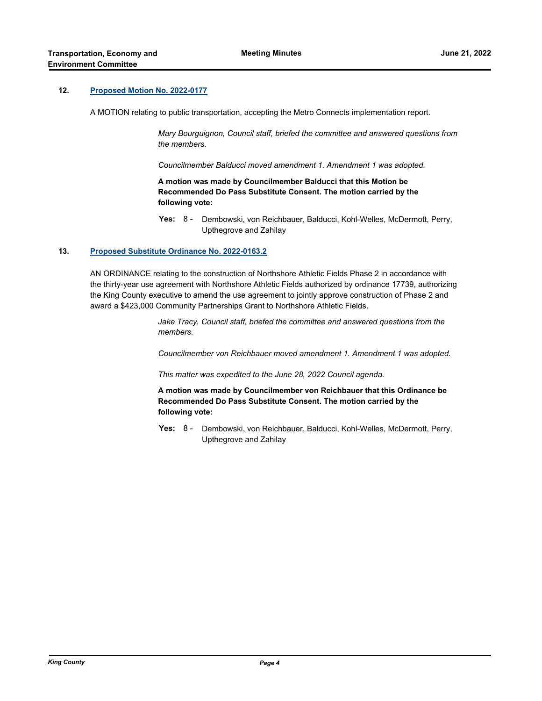### **12. [Proposed Motion No. 2022-0177](http://kingcounty.legistar.com/gateway.aspx?m=l&id=/matter.aspx?key=23092)**

A MOTION relating to public transportation, accepting the Metro Connects implementation report.

*Mary Bourguignon, Council staff, briefed the committee and answered questions from the members.* 

*Councilmember Balducci moved amendment 1. Amendment 1 was adopted.*

**A motion was made by Councilmember Balducci that this Motion be Recommended Do Pass Substitute Consent. The motion carried by the following vote:**

Yes: 8 - Dembowski, von Reichbauer, Balducci, Kohl-Welles, McDermott, Perry, Upthegrove and Zahilay

#### **13. [Proposed Substitute Ordinance No. 2022-0163.2](http://kingcounty.legistar.com/gateway.aspx?m=l&id=/matter.aspx?key=23048)**

AN ORDINANCE relating to the construction of Northshore Athletic Fields Phase 2 in accordance with the thirty-year use agreement with Northshore Athletic Fields authorized by ordinance 17739, authorizing the King County executive to amend the use agreement to jointly approve construction of Phase 2 and award a \$423,000 Community Partnerships Grant to Northshore Athletic Fields.

> *Jake Tracy, Council staff, briefed the committee and answered questions from the members.*

*Councilmember von Reichbauer moved amendment 1. Amendment 1 was adopted.* 

*This matter was expedited to the June 28, 2022 Council agenda.*

**A motion was made by Councilmember von Reichbauer that this Ordinance be Recommended Do Pass Substitute Consent. The motion carried by the following vote:**

**Yes:** Dembowski, von Reichbauer, Balducci, Kohl-Welles, McDermott, Perry, Upthegrove and Zahilay Yes:  $8 -$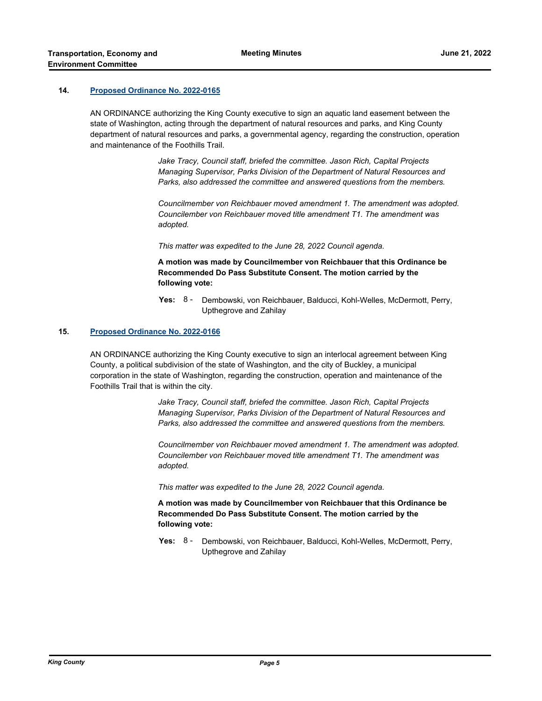#### **14. [Proposed Ordinance No. 2022-0165](http://kingcounty.legistar.com/gateway.aspx?m=l&id=/matter.aspx?key=23050)**

AN ORDINANCE authorizing the King County executive to sign an aquatic land easement between the state of Washington, acting through the department of natural resources and parks, and King County department of natural resources and parks, a governmental agency, regarding the construction, operation and maintenance of the Foothills Trail.

> *Jake Tracy, Council staff, briefed the committee. Jason Rich, Capital Projects Managing Supervisor, Parks Division of the Department of Natural Resources and Parks, also addressed the committee and answered questions from the members.*

*Councilmember von Reichbauer moved amendment 1. The amendment was adopted. Councilember von Reichbauer moved title amendment T1. The amendment was adopted.* 

*This matter was expedited to the June 28, 2022 Council agenda.*

**A motion was made by Councilmember von Reichbauer that this Ordinance be Recommended Do Pass Substitute Consent. The motion carried by the following vote:**

**Yes:** Dembowski, von Reichbauer, Balducci, Kohl-Welles, McDermott, Perry, Upthegrove and Zahilay Yes:  $8 -$ 

#### **15. [Proposed Ordinance No. 2022-0166](http://kingcounty.legistar.com/gateway.aspx?m=l&id=/matter.aspx?key=23051)**

AN ORDINANCE authorizing the King County executive to sign an interlocal agreement between King County, a political subdivision of the state of Washington, and the city of Buckley, a municipal corporation in the state of Washington, regarding the construction, operation and maintenance of the Foothills Trail that is within the city.

> *Jake Tracy, Council staff, briefed the committee. Jason Rich, Capital Projects Managing Supervisor, Parks Division of the Department of Natural Resources and Parks, also addressed the committee and answered questions from the members.*

*Councilmember von Reichbauer moved amendment 1. The amendment was adopted. Councilember von Reichbauer moved title amendment T1. The amendment was adopted.* 

*This matter was expedited to the June 28, 2022 Council agenda.*

**A motion was made by Councilmember von Reichbauer that this Ordinance be Recommended Do Pass Substitute Consent. The motion carried by the following vote:**

**Yes:** Dembowski, von Reichbauer, Balducci, Kohl-Welles, McDermott, Perry, Upthegrove and Zahilay Yes:  $8 -$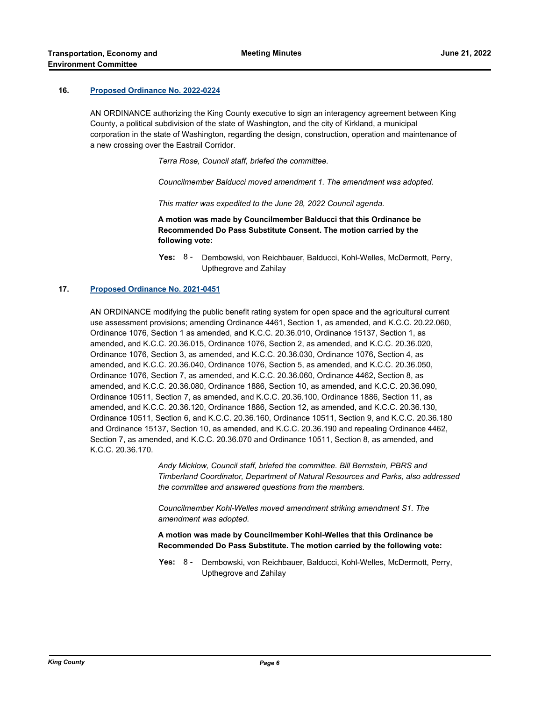#### **16. [Proposed Ordinance No. 2022-0224](http://kingcounty.legistar.com/gateway.aspx?m=l&id=/matter.aspx?key=23178)**

AN ORDINANCE authorizing the King County executive to sign an interagency agreement between King County, a political subdivision of the state of Washington, and the city of Kirkland, a municipal corporation in the state of Washington, regarding the design, construction, operation and maintenance of a new crossing over the Eastrail Corridor.

*Terra Rose, Council staff, briefed the committee.* 

*Councilmember Balducci moved amendment 1. The amendment was adopted.* 

*This matter was expedited to the June 28, 2022 Council agenda.*

**A motion was made by Councilmember Balducci that this Ordinance be Recommended Do Pass Substitute Consent. The motion carried by the following vote:**

Yes: 8 - Dembowski, von Reichbauer, Balducci, Kohl-Welles, McDermott, Perry, Upthegrove and Zahilay

#### **17. [Proposed Ordinance No. 2021-0451](http://kingcounty.legistar.com/gateway.aspx?m=l&id=/matter.aspx?key=22687)**

AN ORDINANCE modifying the public benefit rating system for open space and the agricultural current use assessment provisions; amending Ordinance 4461, Section 1, as amended, and K.C.C. 20.22.060, Ordinance 1076, Section 1 as amended, and K.C.C. 20.36.010, Ordinance 15137, Section 1, as amended, and K.C.C. 20.36.015, Ordinance 1076, Section 2, as amended, and K.C.C. 20.36.020, Ordinance 1076, Section 3, as amended, and K.C.C. 20.36.030, Ordinance 1076, Section 4, as amended, and K.C.C. 20.36.040, Ordinance 1076, Section 5, as amended, and K.C.C. 20.36.050, Ordinance 1076, Section 7, as amended, and K.C.C. 20.36.060, Ordinance 4462, Section 8, as amended, and K.C.C. 20.36.080, Ordinance 1886, Section 10, as amended, and K.C.C. 20.36.090, Ordinance 10511, Section 7, as amended, and K.C.C. 20.36.100, Ordinance 1886, Section 11, as amended, and K.C.C. 20.36.120, Ordinance 1886, Section 12, as amended, and K.C.C. 20.36.130, Ordinance 10511, Section 6, and K.C.C. 20.36.160, Ordinance 10511, Section 9, and K.C.C. 20.36.180 and Ordinance 15137, Section 10, as amended, and K.C.C. 20.36.190 and repealing Ordinance 4462, Section 7, as amended, and K.C.C. 20.36.070 and Ordinance 10511, Section 8, as amended, and K.C.C. 20.36.170.

> *Andy Micklow, Council staff, briefed the committee. Bill Bernstein, PBRS and Timberland Coordinator, Department of Natural Resources and Parks, also addressed the committee and answered questions from the members.*

*Councilmember Kohl-Welles moved amendment striking amendment S1. The amendment was adopted.*

**A motion was made by Councilmember Kohl-Welles that this Ordinance be Recommended Do Pass Substitute. The motion carried by the following vote:**

**Yes:** Dembowski, von Reichbauer, Balducci, Kohl-Welles, McDermott, Perry, Upthegrove and Zahilay Yes:  $8 -$